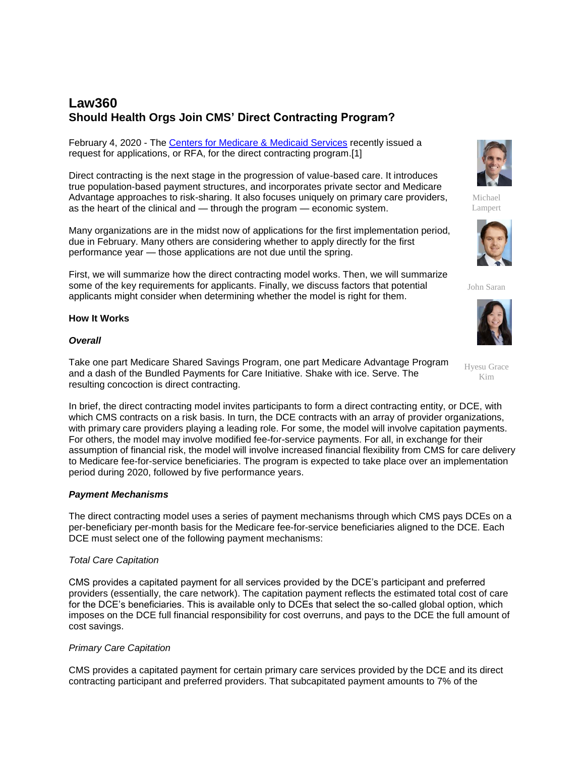# **Law360 Should Health Orgs Join CMS' Direct Contracting Program?**

February 4, 2020 - The [Centers for Medicare & Medicaid Services](https://www.law360.com/agencies/centers-for-medicare-medicaid-services) recently issued a request for applications, or RFA, for the direct contracting program.[1]

Direct contracting is the next stage in the progression of value-based care. It introduces true population-based payment structures, and incorporates private sector and Medicare Advantage approaches to risk-sharing. It also focuses uniquely on primary care providers, as the heart of the clinical and — through the program — economic system.

Many organizations are in the midst now of applications for the first implementation period, due in February. Many others are considering whether to apply directly for the first performance year — those applications are not due until the spring.

First, we will summarize how the direct contracting model works. Then, we will summarize some of the key requirements for applicants. Finally, we discuss factors that potential applicants might consider when determining whether the model is right for them.

#### **How It Works**

#### *Overall*

Take one part Medicare Shared Savings Program, one part Medicare Advantage Program and a dash of the Bundled Payments for Care Initiative. Shake with ice. Serve. The resulting concoction is direct contracting.

In brief, the direct contracting model invites participants to form a direct contracting entity, or DCE, with which CMS contracts on a risk basis. In turn, the DCE contracts with an array of provider organizations, with primary care providers playing a leading role. For some, the model will involve capitation payments. For others, the model may involve modified fee-for-service payments. For all, in exchange for their assumption of financial risk, the model will involve increased financial flexibility from CMS for care delivery to Medicare fee-for-service beneficiaries. The program is expected to take place over an implementation period during 2020, followed by five performance years.

## *Payment Mechanisms*

The direct contracting model uses a series of payment mechanisms through which CMS pays DCEs on a per-beneficiary per-month basis for the Medicare fee-for-service beneficiaries aligned to the DCE. Each DCE must select one of the following payment mechanisms:

## *Total Care Capitation*

CMS provides a capitated payment for all services provided by the DCE's participant and preferred providers (essentially, the care network). The capitation payment reflects the estimated total cost of care for the DCE's beneficiaries. This is available only to DCEs that select the so-called global option, which imposes on the DCE full financial responsibility for cost overruns, and pays to the DCE the full amount of cost savings.

# *Primary Care Capitation*

CMS provides a capitated payment for certain primary care services provided by the DCE and its direct contracting participant and preferred providers. That subcapitated payment amounts to 7% of the



Michael Lampert



John Saran



Hyesu Grace Kim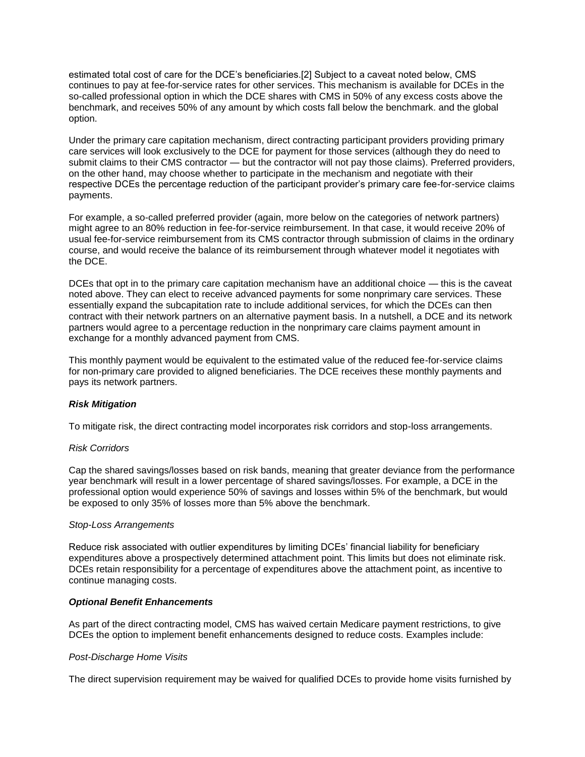estimated total cost of care for the DCE's beneficiaries.[2] Subject to a caveat noted below, CMS continues to pay at fee-for-service rates for other services. This mechanism is available for DCEs in the so-called professional option in which the DCE shares with CMS in 50% of any excess costs above the benchmark, and receives 50% of any amount by which costs fall below the benchmark. and the global option.

Under the primary care capitation mechanism, direct contracting participant providers providing primary care services will look exclusively to the DCE for payment for those services (although they do need to submit claims to their CMS contractor — but the contractor will not pay those claims). Preferred providers, on the other hand, may choose whether to participate in the mechanism and negotiate with their respective DCEs the percentage reduction of the participant provider's primary care fee-for-service claims payments.

For example, a so-called preferred provider (again, more below on the categories of network partners) might agree to an 80% reduction in fee-for-service reimbursement. In that case, it would receive 20% of usual fee-for-service reimbursement from its CMS contractor through submission of claims in the ordinary course, and would receive the balance of its reimbursement through whatever model it negotiates with the DCE.

DCEs that opt in to the primary care capitation mechanism have an additional choice — this is the caveat noted above. They can elect to receive advanced payments for some nonprimary care services. These essentially expand the subcapitation rate to include additional services, for which the DCEs can then contract with their network partners on an alternative payment basis. In a nutshell, a DCE and its network partners would agree to a percentage reduction in the nonprimary care claims payment amount in exchange for a monthly advanced payment from CMS.

This monthly payment would be equivalent to the estimated value of the reduced fee-for-service claims for non-primary care provided to aligned beneficiaries. The DCE receives these monthly payments and pays its network partners.

## *Risk Mitigation*

To mitigate risk, the direct contracting model incorporates risk corridors and stop-loss arrangements.

#### *Risk Corridors*

Cap the shared savings/losses based on risk bands, meaning that greater deviance from the performance year benchmark will result in a lower percentage of shared savings/losses. For example, a DCE in the professional option would experience 50% of savings and losses within 5% of the benchmark, but would be exposed to only 35% of losses more than 5% above the benchmark.

#### *Stop-Loss Arrangements*

Reduce risk associated with outlier expenditures by limiting DCEs' financial liability for beneficiary expenditures above a prospectively determined attachment point. This limits but does not eliminate risk. DCEs retain responsibility for a percentage of expenditures above the attachment point, as incentive to continue managing costs.

## *Optional Benefit Enhancements*

As part of the direct contracting model, CMS has waived certain Medicare payment restrictions, to give DCEs the option to implement benefit enhancements designed to reduce costs. Examples include:

## *Post-Discharge Home Visits*

The direct supervision requirement may be waived for qualified DCEs to provide home visits furnished by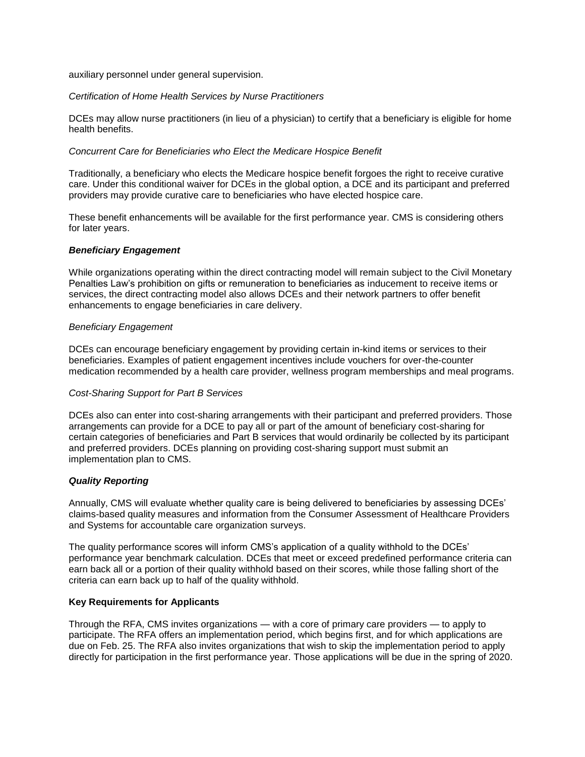auxiliary personnel under general supervision.

## *Certification of Home Health Services by Nurse Practitioners*

DCEs may allow nurse practitioners (in lieu of a physician) to certify that a beneficiary is eligible for home health benefits.

## *Concurrent Care for Beneficiaries who Elect the Medicare Hospice Benefit*

Traditionally, a beneficiary who elects the Medicare hospice benefit forgoes the right to receive curative care. Under this conditional waiver for DCEs in the global option, a DCE and its participant and preferred providers may provide curative care to beneficiaries who have elected hospice care.

These benefit enhancements will be available for the first performance year. CMS is considering others for later years.

## *Beneficiary Engagement*

While organizations operating within the direct contracting model will remain subject to the Civil Monetary Penalties Law's prohibition on gifts or remuneration to beneficiaries as inducement to receive items or services, the direct contracting model also allows DCEs and their network partners to offer benefit enhancements to engage beneficiaries in care delivery.

#### *Beneficiary Engagement*

DCEs can encourage beneficiary engagement by providing certain in-kind items or services to their beneficiaries. Examples of patient engagement incentives include vouchers for over-the-counter medication recommended by a health care provider, wellness program memberships and meal programs.

## *Cost-Sharing Support for Part B Services*

DCEs also can enter into cost-sharing arrangements with their participant and preferred providers. Those arrangements can provide for a DCE to pay all or part of the amount of beneficiary cost-sharing for certain categories of beneficiaries and Part B services that would ordinarily be collected by its participant and preferred providers. DCEs planning on providing cost-sharing support must submit an implementation plan to CMS.

## *Quality Reporting*

Annually, CMS will evaluate whether quality care is being delivered to beneficiaries by assessing DCEs' claims-based quality measures and information from the Consumer Assessment of Healthcare Providers and Systems for accountable care organization surveys.

The quality performance scores will inform CMS's application of a quality withhold to the DCEs' performance year benchmark calculation. DCEs that meet or exceed predefined performance criteria can earn back all or a portion of their quality withhold based on their scores, while those falling short of the criteria can earn back up to half of the quality withhold.

## **Key Requirements for Applicants**

Through the RFA, CMS invites organizations — with a core of primary care providers — to apply to participate. The RFA offers an implementation period, which begins first, and for which applications are due on Feb. 25. The RFA also invites organizations that wish to skip the implementation period to apply directly for participation in the first performance year. Those applications will be due in the spring of 2020.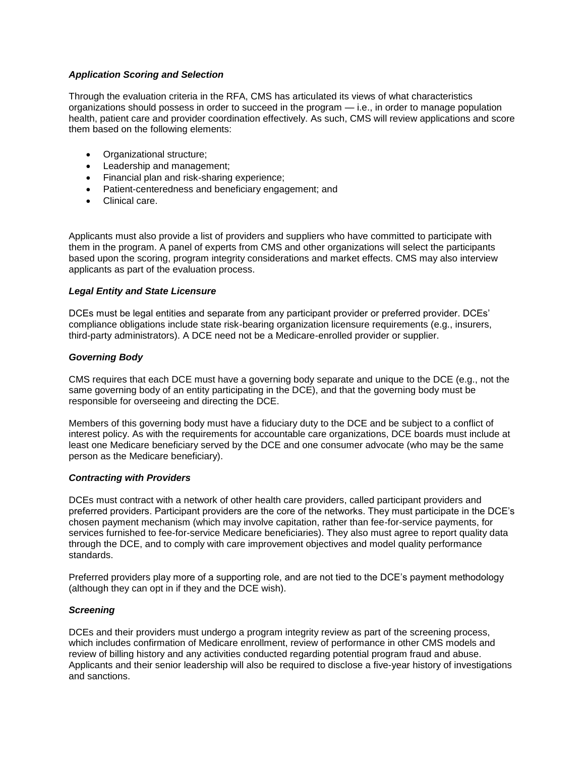# *Application Scoring and Selection*

Through the evaluation criteria in the RFA, CMS has articulated its views of what characteristics organizations should possess in order to succeed in the program — i.e., in order to manage population health, patient care and provider coordination effectively. As such, CMS will review applications and score them based on the following elements:

- Organizational structure:
- Leadership and management;
- Financial plan and risk-sharing experience;
- Patient-centeredness and beneficiary engagement; and
- Clinical care.

Applicants must also provide a list of providers and suppliers who have committed to participate with them in the program. A panel of experts from CMS and other organizations will select the participants based upon the scoring, program integrity considerations and market effects. CMS may also interview applicants as part of the evaluation process.

## *Legal Entity and State Licensure*

DCEs must be legal entities and separate from any participant provider or preferred provider. DCEs' compliance obligations include state risk-bearing organization licensure requirements (e.g., insurers, third-party administrators). A DCE need not be a Medicare-enrolled provider or supplier.

# *Governing Body*

CMS requires that each DCE must have a governing body separate and unique to the DCE (e.g., not the same governing body of an entity participating in the DCE), and that the governing body must be responsible for overseeing and directing the DCE.

Members of this governing body must have a fiduciary duty to the DCE and be subject to a conflict of interest policy. As with the requirements for accountable care organizations, DCE boards must include at least one Medicare beneficiary served by the DCE and one consumer advocate (who may be the same person as the Medicare beneficiary).

## *Contracting with Providers*

DCEs must contract with a network of other health care providers, called participant providers and preferred providers. Participant providers are the core of the networks. They must participate in the DCE's chosen payment mechanism (which may involve capitation, rather than fee-for-service payments, for services furnished to fee-for-service Medicare beneficiaries). They also must agree to report quality data through the DCE, and to comply with care improvement objectives and model quality performance standards.

Preferred providers play more of a supporting role, and are not tied to the DCE's payment methodology (although they can opt in if they and the DCE wish).

## *Screening*

DCEs and their providers must undergo a program integrity review as part of the screening process, which includes confirmation of Medicare enrollment, review of performance in other CMS models and review of billing history and any activities conducted regarding potential program fraud and abuse. Applicants and their senior leadership will also be required to disclose a five-year history of investigations and sanctions.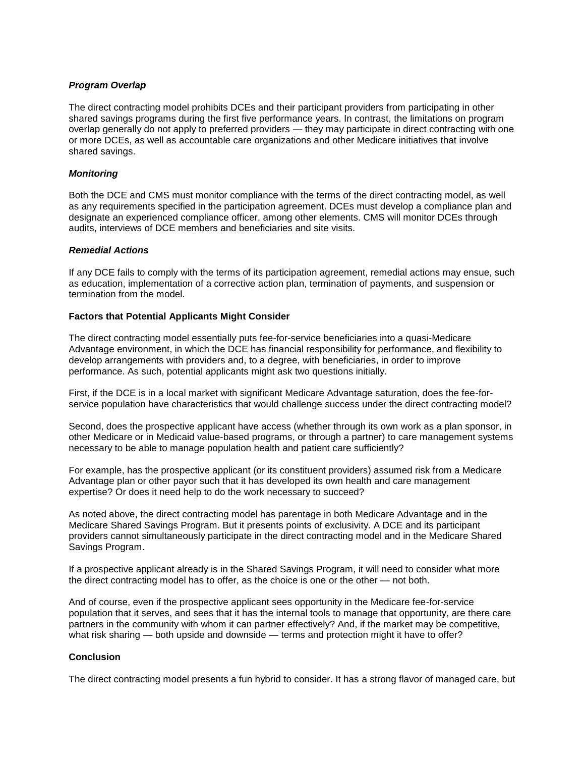## *Program Overlap*

The direct contracting model prohibits DCEs and their participant providers from participating in other shared savings programs during the first five performance years. In contrast, the limitations on program overlap generally do not apply to preferred providers — they may participate in direct contracting with one or more DCEs, as well as accountable care organizations and other Medicare initiatives that involve shared savings.

# *Monitoring*

Both the DCE and CMS must monitor compliance with the terms of the direct contracting model, as well as any requirements specified in the participation agreement. DCEs must develop a compliance plan and designate an experienced compliance officer, among other elements. CMS will monitor DCEs through audits, interviews of DCE members and beneficiaries and site visits.

# *Remedial Actions*

If any DCE fails to comply with the terms of its participation agreement, remedial actions may ensue, such as education, implementation of a corrective action plan, termination of payments, and suspension or termination from the model.

# **Factors that Potential Applicants Might Consider**

The direct contracting model essentially puts fee-for-service beneficiaries into a quasi-Medicare Advantage environment, in which the DCE has financial responsibility for performance, and flexibility to develop arrangements with providers and, to a degree, with beneficiaries, in order to improve performance. As such, potential applicants might ask two questions initially.

First, if the DCE is in a local market with significant Medicare Advantage saturation, does the fee-forservice population have characteristics that would challenge success under the direct contracting model?

Second, does the prospective applicant have access (whether through its own work as a plan sponsor, in other Medicare or in Medicaid value-based programs, or through a partner) to care management systems necessary to be able to manage population health and patient care sufficiently?

For example, has the prospective applicant (or its constituent providers) assumed risk from a Medicare Advantage plan or other payor such that it has developed its own health and care management expertise? Or does it need help to do the work necessary to succeed?

As noted above, the direct contracting model has parentage in both Medicare Advantage and in the Medicare Shared Savings Program. But it presents points of exclusivity. A DCE and its participant providers cannot simultaneously participate in the direct contracting model and in the Medicare Shared Savings Program.

If a prospective applicant already is in the Shared Savings Program, it will need to consider what more the direct contracting model has to offer, as the choice is one or the other — not both.

And of course, even if the prospective applicant sees opportunity in the Medicare fee-for-service population that it serves, and sees that it has the internal tools to manage that opportunity, are there care partners in the community with whom it can partner effectively? And, if the market may be competitive, what risk sharing — both upside and downside — terms and protection might it have to offer?

# **Conclusion**

The direct contracting model presents a fun hybrid to consider. It has a strong flavor of managed care, but